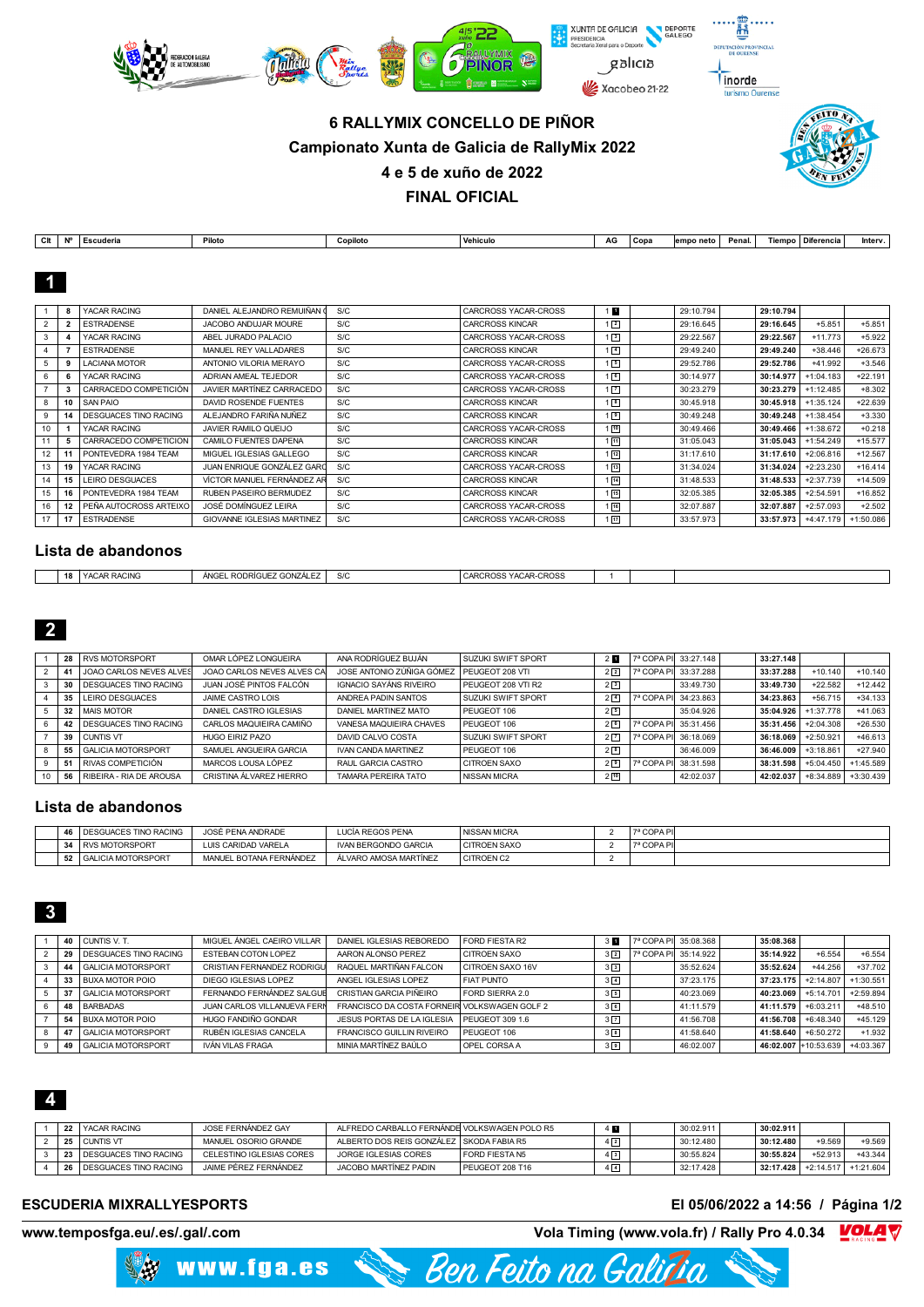

# **6 RALLYMIX CONCELLO DE PIÑOR Campionato Xunta de Galicia de RallyMix 2022 4 e 5 de xuño de 2022**



**FINAL OFICIAL**

| СIt | <b>N°</b> | l Escuderia       | Piloto                      | Copiloto | Vehiculo               | AG             | Copa | empo neto | Penal. |           | Tiempo   Diferencia | Interv.   |
|-----|-----------|-------------------|-----------------------------|----------|------------------------|----------------|------|-----------|--------|-----------|---------------------|-----------|
|     |           |                   |                             |          |                        |                |      |           |        |           |                     |           |
|     |           |                   |                             |          |                        |                |      |           |        |           |                     |           |
|     |           |                   |                             |          |                        |                |      |           |        |           |                     |           |
|     |           |                   |                             |          |                        |                |      |           |        |           |                     |           |
|     |           | YACAR RACING      | DANIEL ALEJANDRO REMUIÑAN ( | S/C      | CARCROSS YACAR-CROSS   | $\blacksquare$ |      | 29:10.794 |        | 29:10.794 |                     |           |
|     |           |                   |                             |          |                        |                |      |           |        |           |                     |           |
|     |           | <b>FSTRADENSE</b> | JACOBO ANDUJAR MOURE        | S/C      | <b>CARCROSS KINCAR</b> | $\sqrt{2}$     |      | 29:16.645 |        | 29:16.645 | $+5.851$            | $+5.851$  |
|     |           | YACAR RACING      | ABEL JURADO PALACIO         | S/C      | CARCROSS YACAR-CROSS   | $\sqrt{3}$     |      | 29:22.567 |        | 29:22.567 | $+11.773$           | $+5.922$  |
|     |           | <b>ESTRADENSE</b> | MANUEL REY VALLADARES       | S/C      | <b>CARCROSS KINCAR</b> | $\sqrt{4}$     |      | 29:49.240 |        | 29:49.240 | $+38.446$           | $+26.673$ |

| 5               |    | LACIANA MOTOR              | ANTONIO VILORIA MERAYO     | S/C | CARCROSS YACAR-CROSS   | $1\sqrt{5}$     | 29:52.786 | 29:52.786 | $+41.992$   | $+3.546$  |
|-----------------|----|----------------------------|----------------------------|-----|------------------------|-----------------|-----------|-----------|-------------|-----------|
| 6.              |    | YACAR RACING               | ADRIAN AMEAL TEJEDOR       | S/C | CARCROSS YACAR-CROSS   | 1 <sup>6</sup>  | 30:14.977 | 30:14.977 | $+1:04.183$ | $+22.191$ |
|                 |    | CARRACEDO COMPETICIÓN      | JAVIER MARTÍNEZ CARRACEDO  | S/C | CARCROSS YACAR-CROSS   | $1\sqrt{7}$     | 30:23.279 | 30:23.279 | $+1:12.485$ | $+8.302$  |
| 8               | 10 | SAN PAIO                   | DAVID ROSENDE FUENTES      | S/C | <b>CARCROSS KINCAR</b> | $\sqrt{8}$      | 30:45.918 | 30:45.918 | $+1:35.124$ | $+22.639$ |
| 9               |    | DESGUACES TINO RACING      | ALEJANDRO FARIÑA NUÑEZ     | S/C | <b>CARCROSS KINCAR</b> | $\sqrt{9}$      | 30:49.248 | 30:49.248 | $+1:38.454$ | $+3.330$  |
| 10              |    | YACAR RACING               | JAVIER RAMILO QUEIJO       | S/C | CARCROSS YACAR-CROSS   | $1\sqrt{10}$    | 30:49.466 | 30:49.466 | $+1:38.672$ | $+0.218$  |
|                 |    | CARRACEDO COMPETICION      | CAMILO FUENTES DAPENA      | S/C | <b>CARCROSS KINCAR</b> | 1回              | 31:05.043 | 31:05.043 | $+1:54.249$ | $+15.577$ |
| 12 <sup>2</sup> |    | PONTEVEDRA 1984 TEAM       | MIGUEL IGLESIAS GALLEGO    | S/C | <b>CARCROSS KINCAR</b> | $1^{12}$        | 31:17.610 | 31:17.610 | $+2:06.816$ | $+12.567$ |
| 13              | 19 | YACAR RACING               | JUAN ENRIQUE GONZÁLEZ GARD | S/C | CARCROSS YACAR-CROSS   | $1 \sqrt{13}$   | 31:34.024 | 31:34.024 | $+2:23.230$ | $+16.414$ |
| 14              | 15 | LEIRO DESGUACES            | VÍCTOR MANUEL FERNÁNDEZ AR | S/C | <b>CARCROSS KINCAR</b> | $1\sqrt{14}$    | 31:48.533 | 31:48.533 | $+2:37.739$ | $+14.509$ |
| 15              | 16 | PONTEVEDRA 1984 TEAM       | RUBEN PASEIRO BERMUDEZ     | S/C | <b>CARCROSS KINCAR</b> | $1$ $\sqrt{15}$ | 32:05.385 | 32:05.385 | $+2:54.591$ | $+16.852$ |
| 16              |    | I PEÑA AUTOCROSS ARTEIXO I | JOSÉ DOMÍNGUEZ LEIRA       | S/C | CARCROSS YACAR-CROSS   | $1$ $16$        | 32:07.887 | 32:07.887 | $+2:57.093$ | $+2.502$  |
| 17              |    | <b>ESTRADENSE</b>          | GIOVANNE IGLESIAS MARTINEZ | S/C | CARCROSS YACAR-CROSS   | $1^{17}$        | 33:57.973 | 33:57.973 | $+4:47.179$ | +1:50.086 |

## **Lista de abandonos**

| $\overline{a}$ | RACINO<br>$\sim$ $\sim$ $\sim$<br>$V_{\Lambda}$<br>$\sim$ | $\overline{z}$ : DODDICUEZ CONZÁLEZ L.<br>ÁNGI<br><b>RUDRIGUE</b><br>, GUNZ, | $\sim$<br>c<br>טוב | YACAR-CROSS<br>:ARCROSS |  |  |
|----------------|-----------------------------------------------------------|------------------------------------------------------------------------------|--------------------|-------------------------|--|--|
|                |                                                           |                                                                              |                    |                         |  |  |

|    | 28 | <b>RVS MOTORSPORT</b>          | OMAR LÓPEZ LONGUEIRA       | ANA RODRÍGUEZ BUJÁN        | <b>SUZUKI SWIFT SPORT</b> | $\overline{\phantom{a}}$ |                       | 7ª COPA PI 33:27.148 | 33:27.148 |             |             |
|----|----|--------------------------------|----------------------------|----------------------------|---------------------------|--------------------------|-----------------------|----------------------|-----------|-------------|-------------|
|    |    | <b>JOAO CARLOS NEVES ALVES</b> | JOAO CARLOS NEVES ALVES CA | JOSE ANTONIO ZÚÑIGA GÓMEZ  | PEUGEOT 208 VTI           | 2 <sup>2</sup>           | 7ª COPA PI            | 33:37.288            | 33:37.288 | $+10.140$   | $+10.140$   |
|    | 30 | <b>DESGUACES TINO RACING</b>   | JUAN JOSÉ PINTOS FALCÓN    | IGNACIO SAYÁNS RIVEIRO     | PEUGEOT 208 VTI R2        | 2 <sup>3</sup>           |                       | 33:49.730            | 33:49.730 | $+22.582$   | $+12.442$   |
|    | 35 | LEIRO DESGUACES                | JAIME CASTRO LOIS          | ANDREA PADIN SANTOS        | <b>SUZUKI SWIFT SPORT</b> | $2\sqrt{4}$              | 7ª COPA PI            | 34:23.863            | 34:23.863 | $+56.715$   | $+34.133$   |
|    | 32 | <b>MAIS MOTOR</b>              | DANIEL CASTRO IGLESIAS     | DANIEL MARTINEZ MATO       | PEUGEOT 106               | 25                       |                       | 35:04.926            | 35:04.926 | $+1:37.778$ | $+41.063$   |
| 6  |    | <b>DESGUACES TINO RACING</b>   | CARLOS MAQUIEIRA CAMIÑO    | VANESA MAQUIEIRA CHAVES    | PEUGEOT 106               | 26                       | <sup>7ª</sup> COPA PI | 35:31.456            | 35:31.456 | $+2:04.308$ | $+26.530$   |
|    | 39 | <b>CUNTIS VT</b>               | HUGO FIRIZ PAZO            | DAVID CALVO COSTA          | <b>SUZUKI SWIFT SPORT</b> | 2 <sub>7</sub>           | 7ª COPA PI            | 36:18.069            | 36:18.069 | $+2:50.921$ | $+46.613$   |
|    |    | <b>GALICIA MOTORSPORT</b>      | SAMUEL ANGUEIRA GARCIA     | <b>IVAN CANDA MARTINEZ</b> | PEUGEOT 106               | $2^{8}$                  |                       | 36:46.009            | 36:46.009 | $+3:18.861$ | $+27.940$   |
| 9  |    | I RIVAS COMPETICIÓN            | MARCOS LOUSA LÓPEZ         | RAUL GARCIA CASTRO         | <b>CITROEN SAXO</b>       | $2^{9}$                  | 7ª COPA PI            | 38:31.598            | 38:31.598 | $+5:04.450$ | $+1:45.589$ |
| 10 | 56 | RIBEIRA - RIA DE AROUSA        | CRISTINA ÁLVAREZ HIERRO    | <b>TAMARA PEREIRA TATO</b> | <b>NISSAN MICRA</b>       | $2^{10}$                 |                       | 42:02.037            | 42:02.037 | +8:34.889   | $+3:30.439$ |

#### **Lista de abandonos**

|                      | <b>DESGUACES TINO RACING</b> | JOSÉ PENA ANDRADE       | LUCÍA REGOS PENA            | I NISSAN MICRA      | 7ª COPA PI |  |
|----------------------|------------------------------|-------------------------|-----------------------------|---------------------|------------|--|
| $\ddot{\phantom{a}}$ | <b>RVS MOTORSPORT</b>        | LUIS CARIDAD VARELA     | <b>IVAN BERGONDO GARCIA</b> | <b>CITROEN SAXO</b> | 7ª COPA PI |  |
| 52                   | <b>GALICIA MOTORSPORT</b>    | MANUEL BOTANA FERNÁNDEZ | ÁL VARO AMOSA MARTÍNEZ      | CITROEN C2          |            |  |

|    | 40 CUNTIS V. T.            | MIGUEL ÁNGEL CAEIRO VILLAR  | DANIEL IGLESIAS REBOREDO                     | FORD FIESTA R2      | 3 <sup>h</sup> | 7ª COPA PI 35:08.368 | 35:08.368 |              |             |
|----|----------------------------|-----------------------------|----------------------------------------------|---------------------|----------------|----------------------|-----------|--------------|-------------|
|    | 29   DESGUACES TINO RACING | ESTEBAN COTON LOPEZ         | AARON ALONSO PEREZ                           | <b>CITROEN SAXO</b> | $3\sqrt{2}$    | 7ª COPA PI 35:14.922 | 35:14.922 | $+6.554$     | $+6.554$    |
| 44 | <b>GALICIA MOTORSPORT</b>  | CRISTIAN FERNANDEZ RODRIGU  | RAQUEL MARTIÑAN FALCON                       | CITROEN SAXO 16V    | 3 <sup>3</sup> | 35:52.624            | 35:52.624 | $+44.256$    | $+37.702$   |
|    | 33 BUXA MOTOR POIO         | DIEGO IGLESIAS LOPEZ        | ANGEL IGLESIAS LOPEZ                         | <b>FIAT PUNTO</b>   | $3\sqrt{4}$    | 37:23.175            | 37:23.175 | $+2:14.807$  | $+1:30.551$ |
| 37 | GALICIA MOTORSPORT         | FERNANDO FERNÁNDEZ SALGUE   | CRISTIAN GARCIA PIÑEIRO                      | FORD SIERRA 2.0     | 3 <sup>5</sup> | 40:23.069            | 40:23.069 | $+5:14.701$  | $+2:59.894$ |
| 48 | BARBADAS                   | JUAN CARLOS VILLANUEVA FERM | FRANCISCO DA COSTA FORNEIR VOLKSWAGEN GOLF 2 |                     | 3 <sup>6</sup> | 41:11.579            | 41:11.579 | $+6:03.211$  | $+48.510$   |
| 54 | <b>BUXA MOTOR POIO</b>     | HUGO FANDIÑO GONDAR         | JESUS PORTAS DE LA IGLESIA                   | PEUGEOT 309 1.6     | 3 7            | 41:56.708            | 41:56.708 | $+6:48.340$  | $+45.129$   |
| 47 | <b>GALICIA MOTORSPORT</b>  | RUBÉN IGLESIAS CANCELA      | <b>FRANCISCO GUILLIN RIVEIRO</b>             | PEUGEOT 106         | 3 <sup>8</sup> | 41:58.640            | 41:58.640 | $+6:50.272$  | $+1.932$    |
| 49 | <b>GALICIA MOTORSPORT</b>  | IVÁN VILAS FRAGA            | MINIA MARTÍNEZ BAÚLO                         | OPEL CORSA A        | 379            | 46:02.007            | 46:02.007 | $+10:53.639$ | +4:03.367   |

# 

|  | 22 YACAR RACING            | JOSE FERNÁNDEZ GAY       | ALFREDO CARBALLO FERNÁNDE VOLKSWAGEN POLO R5 |                 | 4 H         | 30:02.911 | 30:02.911 |             |             |
|--|----------------------------|--------------------------|----------------------------------------------|-----------------|-------------|-----------|-----------|-------------|-------------|
|  | 25 CUNTIS VT               | MANUEL OSORIO GRANDE     | ALBERTO DOS REIS GONZÁLEZ SKODA FABIA R5     |                 | $4\sqrt{2}$ | 30:12.480 | 30:12.480 | $+9.569$    | $+9.569$    |
|  | 23 I DESGUACES TINO RACING | CELESTINO IGLESIAS CORES | JORGE IGLESIAS CORES                         | FORD FIESTA N5  | $4\sqrt{3}$ | 30:55.824 | 30:55.824 | +52.913     | $+43.344$   |
|  | 26 I DESGUACES TINO RACING | JAIME PÉREZ FERNÁNDEZ    | JACOBO MARTÍNEZ PADIN                        | PEUGFOT 208 T16 | $4\sqrt{4}$ | 32:17.428 | 32:17.428 | $+2:14.517$ | $+1:21.604$ |

Ben Feito na Galidia

#### **ESCUDERIA MIXRALLYESPORTS El 05/06/2022 a 14:56 / Página 1/2**

www.fga.es

**www.temposfga.eu/.es/.gal/.com Vola Timing (www.vola.fr) / Rally Pro 4.0.34 VOLA V**